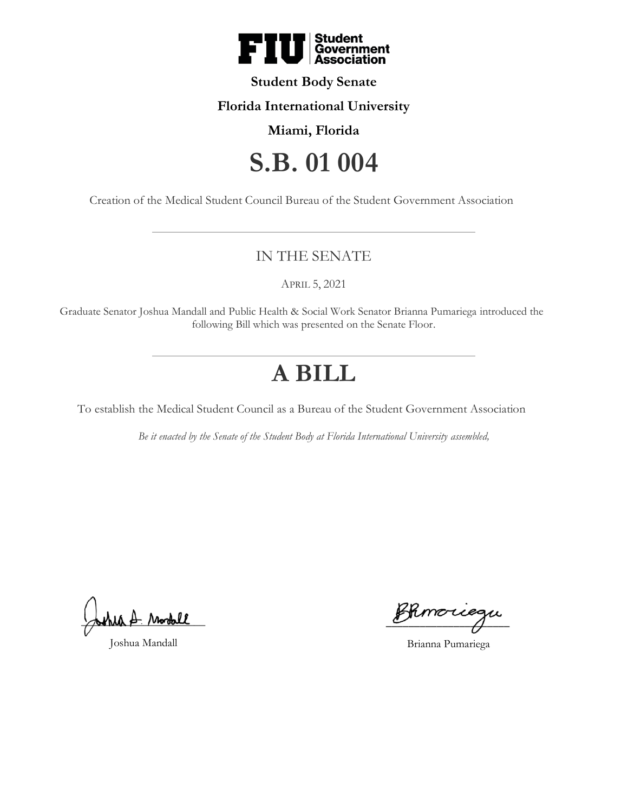

### **Student Body Senate**

# **Florida International University**

# **Miami, Florida**

# **S.B. 01 004**

Creation of the Medical Student Council Bureau of the Student Government Association

# IN THE SENATE

APRIL 5, 2021

Graduate Senator Joshua Mandall and Public Health & Social Work Senator Brianna Pumariega introduced the following Bill which was presented on the Senate Floor.

# **A BILL**

To establish the Medical Student Council as a Bureau of the Student Government Association

*Be it enacted by the Senate of the Student Body at Florida International University assembled,*

 $_{\text{disk}}$   $_{\text{A}}$  rootall

Joshua Mandall

 $\mathscr{B}$ kmoriegu

Brianna Pumariega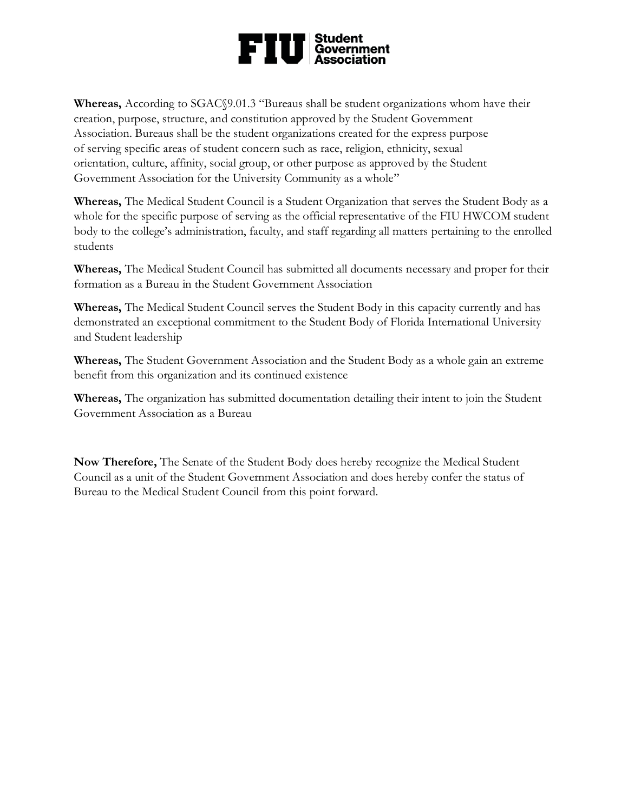# $\mathbf{FIU}$  Student

**Whereas,** According to SGAC§9.01.3 "Bureaus shall be student organizations whom have their creation, purpose, structure, and constitution approved by the Student Government Association. Bureaus shall be the student organizations created for the express purpose of serving specific areas of student concern such as race, religion, ethnicity, sexual orientation, culture, affinity, social group, or other purpose as approved by the Student Government Association for the University Community as a whole"

**Whereas,** The Medical Student Council is a Student Organization that serves the Student Body as a whole for the specific purpose of serving as the official representative of the FIU HWCOM student body to the college's administration, faculty, and staff regarding all matters pertaining to the enrolled students

**Whereas,** The Medical Student Council has submitted all documents necessary and proper for their formation as a Bureau in the Student Government Association

**Whereas,** The Medical Student Council serves the Student Body in this capacity currently and has demonstrated an exceptional commitment to the Student Body of Florida International University and Student leadership

**Whereas,** The Student Government Association and the Student Body as a whole gain an extreme benefit from this organization and its continued existence

**Whereas,** The organization has submitted documentation detailing their intent to join the Student Government Association as a Bureau

**Now Therefore,** The Senate of the Student Body does hereby recognize the Medical Student Council as a unit of the Student Government Association and does hereby confer the status of Bureau to the Medical Student Council from this point forward.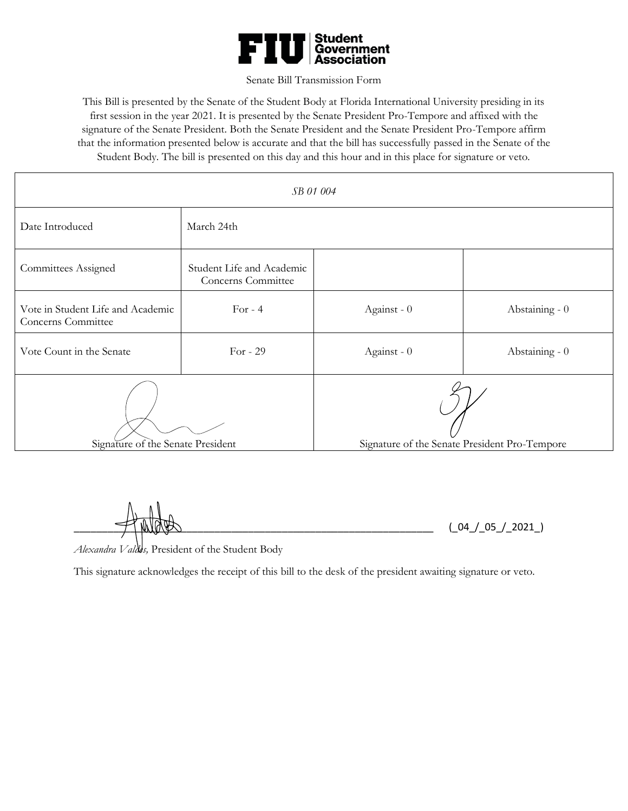

#### Senate Bill Transmission Form

This Bill is presented by the Senate of the Student Body at Florida International University presiding in its first session in the year 2021. It is presented by the Senate President Pro-Tempore and affixed with the signature of the Senate President. Both the Senate President and the Senate President Pro-Tempore affirm that the information presented below is accurate and that the bill has successfully passed in the Senate of the Student Body. The bill is presented on this day and this hour and in this place for signature or veto.

| SB 01 004                                               |                                                 |                                               |                |
|---------------------------------------------------------|-------------------------------------------------|-----------------------------------------------|----------------|
| Date Introduced                                         | March 24th                                      |                                               |                |
| <b>Committees Assigned</b>                              | Student Life and Academic<br>Concerns Committee |                                               |                |
| Vote in Student Life and Academic<br>Concerns Committee | For $-4$                                        | Against - 0                                   | Abstaining - 0 |
| Vote Count in the Senate                                | For $-29$                                       | Against - 0                                   | Abstaining - 0 |
| Signature of the Senate President                       |                                                 | Signature of the Senate President Pro-Tempore |                |

 $(\_04 / 05 / 2021)$ 

*Alexandra Valdes,* President of the Student Body

This signature acknowledges the receipt of this bill to the desk of the president awaiting signature or veto.